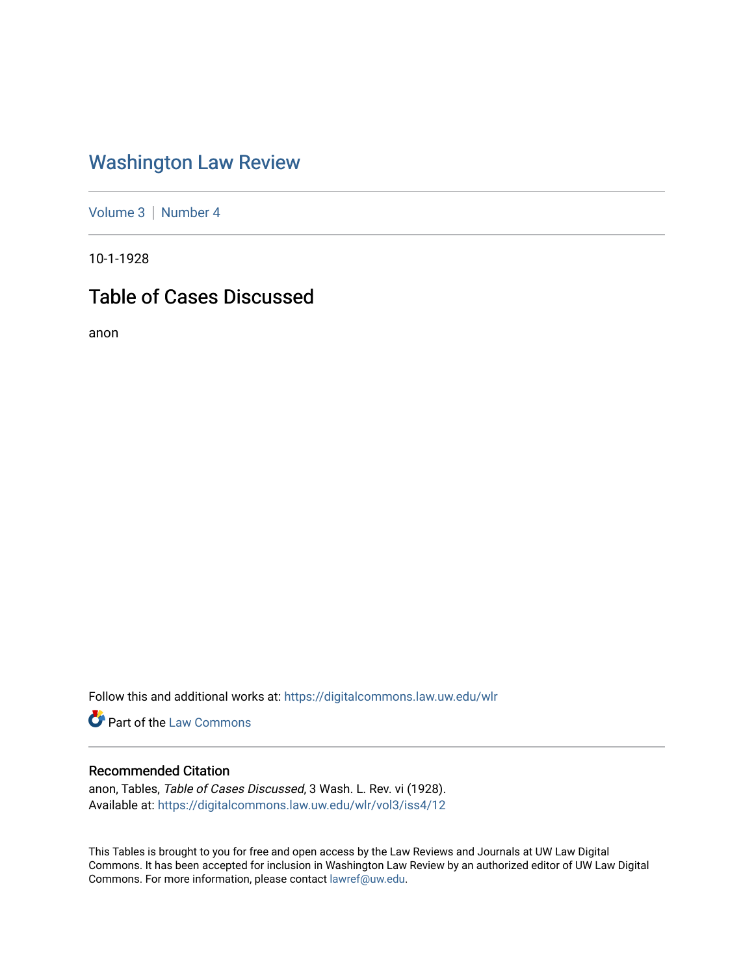# [Washington Law Review](https://digitalcommons.law.uw.edu/wlr)

[Volume 3](https://digitalcommons.law.uw.edu/wlr/vol3) | [Number 4](https://digitalcommons.law.uw.edu/wlr/vol3/iss4)

10-1-1928

# Table of Cases Discussed

anon

Follow this and additional works at: [https://digitalcommons.law.uw.edu/wlr](https://digitalcommons.law.uw.edu/wlr?utm_source=digitalcommons.law.uw.edu%2Fwlr%2Fvol3%2Fiss4%2F12&utm_medium=PDF&utm_campaign=PDFCoverPages)

**Part of the [Law Commons](http://network.bepress.com/hgg/discipline/578?utm_source=digitalcommons.law.uw.edu%2Fwlr%2Fvol3%2Fiss4%2F12&utm_medium=PDF&utm_campaign=PDFCoverPages)** 

### Recommended Citation

anon, Tables, Table of Cases Discussed, 3 Wash. L. Rev. vi (1928). Available at: [https://digitalcommons.law.uw.edu/wlr/vol3/iss4/12](https://digitalcommons.law.uw.edu/wlr/vol3/iss4/12?utm_source=digitalcommons.law.uw.edu%2Fwlr%2Fvol3%2Fiss4%2F12&utm_medium=PDF&utm_campaign=PDFCoverPages)

This Tables is brought to you for free and open access by the Law Reviews and Journals at UW Law Digital Commons. It has been accepted for inclusion in Washington Law Review by an authorized editor of UW Law Digital Commons. For more information, please contact [lawref@uw.edu](mailto:lawref@uw.edu).